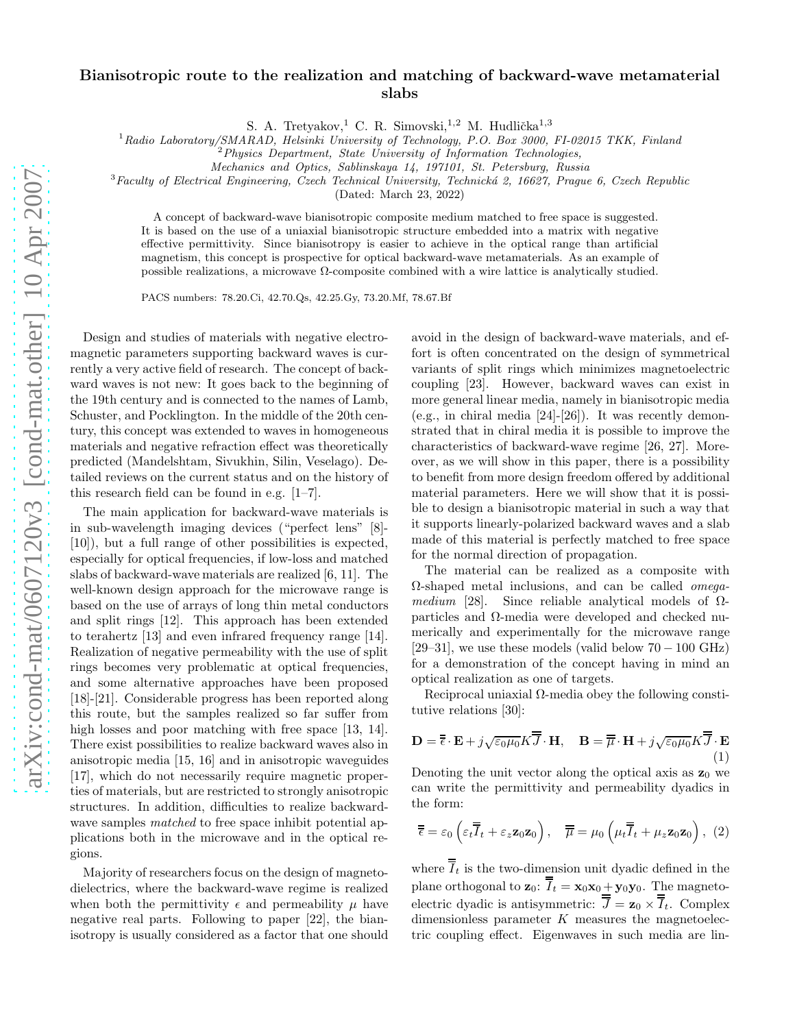## Bianisotropic route to the realization and matching of backward-wave metamaterial slabs

S. A. Tretyakov,<sup>1</sup> C. R. Simovski,<sup>1,2</sup> M. Hudlička<sup>1,3</sup>

 $^{1}$ Radio Laboratory/SMARAD, Helsinki University of Technology, P.O. Box 3000, FI-02015 TKK, Finland

 $2^2$ Physics Department, State University of Information Technologies,

Mechanics and Optics, Sablinskaya 14, 197101, St. Petersburg, Russia

 $3$ Faculty of Electrical Engineering, Czech Technical University, Technická 2, 16627, Prague 6, Czech Republic

(Dated: March 23, 2022)

A concept of backward-wave bianisotropic composite medium matched to free space is suggested. It is based on the use of a uniaxial bianisotropic structure embedded into a matrix with negative effective permittivity. Since bianisotropy is easier to achieve in the optical range than artificial magnetism, this concept is prospective for optical backward-wave metamaterials. As an example of possible realizations, a microwave  $Ω$ -composite combined with a wire lattice is analytically studied.

PACS numbers: 78.20.Ci, 42.70.Qs, 42.25.Gy, 73.20.Mf, 78.67.Bf

Design and studies of materials with negative electromagnetic parameters supporting backward waves is currently a very active field of research. The concept of backward waves is not new: It goes back to the beginning of the 19th century and is connected to the names of Lamb, Schuster, and Pocklington. In the middle of the 20th century, this concept was extended to waves in homogeneous materials and negative refraction effect was theoretically predicted (Mandelshtam, Sivukhin, Silin, Veselago). Detailed reviews on the current status and on the history of this research field can be found in e.g. [1–7].

The main application for backward-wave materials is in sub-wavelength imaging devices ("perfect lens" [8]- [10]), but a full range of other possibilities is expected, especially for optical frequencies, if low-loss and matched slabs of backward-wave materials are realized [6, 11]. The well-known design approach for the microwave range is based on the use of arrays of long thin metal conductors and split rings [12]. This approach has been extended to terahertz [13] and even infrared frequency range [14]. Realization of negative permeability with the use of split rings becomes very problematic at optical frequencies, and some alternative approaches have been proposed [18]-[21]. Considerable progress has been reported along this route, but the samples realized so far suffer from high losses and poor matching with free space [13, 14]. There exist possibilities to realize backward waves also in anisotropic media [15, 16] and in anisotropic waveguides [17], which do not necessarily require magnetic properties of materials, but are restricted to strongly anisotropic structures. In addition, difficulties to realize backwardwave samples *matched* to free space inhibit potential applications both in the microwave and in the optical regions.

Majority of researchers focus on the design of magnetodielectrics, where the backward-wave regime is realized when both the permittivity  $\epsilon$  and permeability  $\mu$  have negative real parts. Following to paper [22], the bianisotropy is usually considered as a factor that one should

avoid in the design of backward-wave materials, and effort is often concentrated on the design of symmetrical variants of split rings which minimizes magnetoelectric coupling [23]. However, backward waves can exist in more general linear media, namely in bianisotropic media (e.g., in chiral media [24]-[26]). It was recently demonstrated that in chiral media it is possible to improve the characteristics of backward-wave regime [26, 27]. Moreover, as we will show in this paper, there is a possibility to benefit from more design freedom offered by additional material parameters. Here we will show that it is possible to design a bianisotropic material in such a way that it supports linearly-polarized backward waves and a slab made of this material is perfectly matched to free space for the normal direction of propagation.

The material can be realized as a composite with Ω-shaped metal inclusions, and can be called omegamedium [28]. Since reliable analytical models of  $\Omega$ particles and Ω-media were developed and checked numerically and experimentally for the microwave range [29–31], we use these models (valid below  $70-100$  GHz) for a demonstration of the concept having in mind an optical realization as one of targets.

Reciprocal uniaxial  $\Omega$ -media obey the following constitutive relations [30]:

$$
\mathbf{D} = \overline{\overline{\epsilon}} \cdot \mathbf{E} + j\sqrt{\epsilon_0 \mu_0} K \overline{\overline{J}} \cdot \mathbf{H}, \quad \mathbf{B} = \overline{\overline{\mu}} \cdot \mathbf{H} + j\sqrt{\epsilon_0 \mu_0} K \overline{\overline{J}} \cdot \mathbf{E}
$$

$$
(1)
$$

Denoting the unit vector along the optical axis as  $\mathbf{z}_0$  we can write the permittivity and permeability dyadics in the form:

$$
\overline{\overline{\epsilon}} = \varepsilon_0 \left( \varepsilon_t \overline{\overline{I}}_t + \varepsilon_z \mathbf{z}_0 \mathbf{z}_0 \right), \quad \overline{\overline{\mu}} = \mu_0 \left( \mu_t \overline{\overline{I}}_t + \mu_z \mathbf{z}_0 \mathbf{z}_0 \right), \tag{2}
$$

where  $\overline{I}_t$  is the two-dimension unit dyadic defined in the plane orthogonal to  $\mathbf{z}_0$ :  $\overline{I}_t = \mathbf{x}_0 \mathbf{x}_0 + \mathbf{y}_0 \mathbf{y}_0$ . The magnetoelectric dyadic is antisymmetric:  $\overline{J} = \mathbf{z}_0 \times \overline{I}_t$ . Complex dimensionless parameter  $K$  measures the magnetoelectric coupling effect. Eigenwaves in such media are lin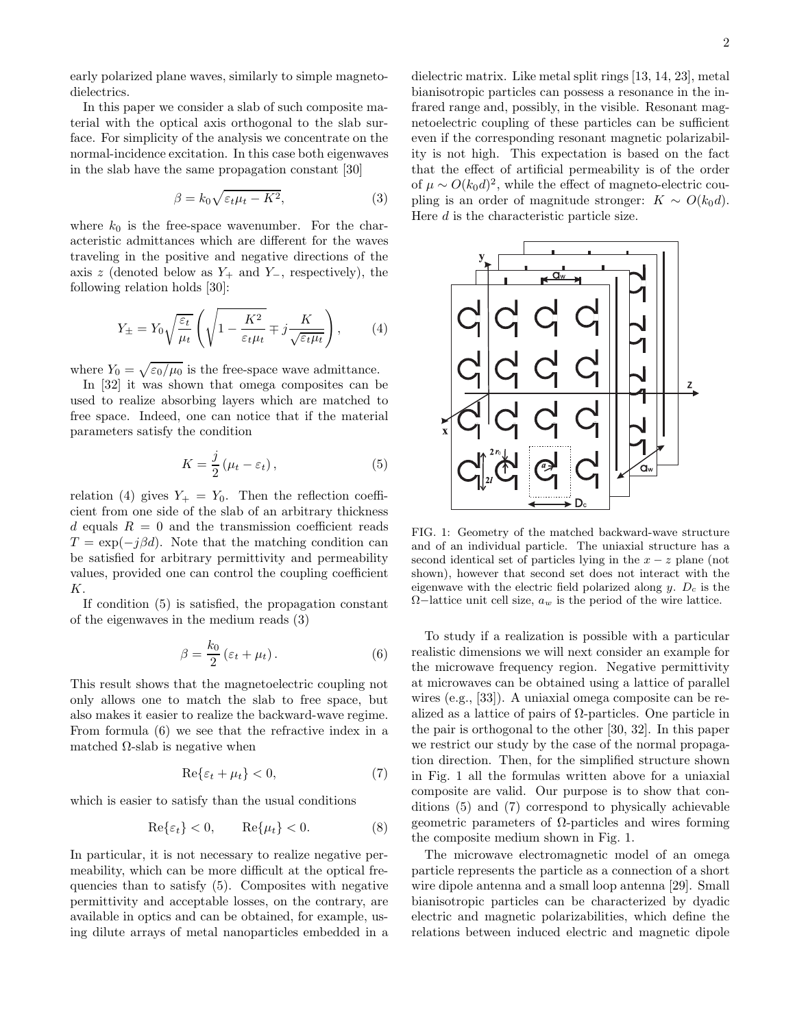early polarized plane waves, similarly to simple magnetodielectrics.

In this paper we consider a slab of such composite material with the optical axis orthogonal to the slab surface. For simplicity of the analysis we concentrate on the normal-incidence excitation. In this case both eigenwaves in the slab have the same propagation constant [30]

$$
\beta = k_0 \sqrt{\varepsilon_t \mu_t - K^2},\tag{3}
$$

where  $k_0$  is the free-space wavenumber. For the characteristic admittances which are different for the waves traveling in the positive and negative directions of the axis z (denoted below as  $Y_+$  and  $Y_-,$  respectively), the following relation holds [30]:

$$
Y_{\pm} = Y_0 \sqrt{\frac{\varepsilon_t}{\mu_t}} \left( \sqrt{1 - \frac{K^2}{\varepsilon_t \mu_t}} \mp j \frac{K}{\sqrt{\varepsilon_t \mu_t}} \right), \qquad (4)
$$

where  $Y_0 = \sqrt{\varepsilon_0/\mu_0}$  is the free-space wave admittance.

In [32] it was shown that omega composites can be used to realize absorbing layers which are matched to free space. Indeed, one can notice that if the material parameters satisfy the condition

$$
K = \frac{j}{2} \left( \mu_t - \varepsilon_t \right), \tag{5}
$$

relation (4) gives  $Y_+ = Y_0$ . Then the reflection coefficient from one side of the slab of an arbitrary thickness d equals  $R = 0$  and the transmission coefficient reads  $T = \exp(-j\beta d)$ . Note that the matching condition can be satisfied for arbitrary permittivity and permeability values, provided one can control the coupling coefficient K.

If condition (5) is satisfied, the propagation constant of the eigenwaves in the medium reads (3)

$$
\beta = \frac{k_0}{2} \left( \varepsilon_t + \mu_t \right). \tag{6}
$$

This result shows that the magnetoelectric coupling not only allows one to match the slab to free space, but also makes it easier to realize the backward-wave regime. From formula (6) we see that the refractive index in a matched  $\Omega$ -slab is negative when

$$
\operatorname{Re}\{\varepsilon_t + \mu_t\} < 0,\tag{7}
$$

which is easier to satisfy than the usual conditions

$$
\operatorname{Re}\{\varepsilon_t\} < 0, \qquad \operatorname{Re}\{\mu_t\} < 0. \tag{8}
$$

In particular, it is not necessary to realize negative permeability, which can be more difficult at the optical frequencies than to satisfy (5). Composites with negative permittivity and acceptable losses, on the contrary, are available in optics and can be obtained, for example, using dilute arrays of metal nanoparticles embedded in a dielectric matrix. Like metal split rings [13, 14, 23], metal bianisotropic particles can possess a resonance in the infrared range and, possibly, in the visible. Resonant magnetoelectric coupling of these particles can be sufficient even if the corresponding resonant magnetic polarizability is not high. This expectation is based on the fact that the effect of artificial permeability is of the order of  $\mu \sim O(k_0 d)^2$ , while the effect of magneto-electric coupling is an order of magnitude stronger:  $K \sim O(k_0 d)$ . Here d is the characteristic particle size.



FIG. 1: Geometry of the matched backward-wave structure and of an individual particle. The uniaxial structure has a second identical set of particles lying in the  $x - z$  plane (not shown), however that second set does not interact with the eigenwave with the electric field polarized along  $y$ .  $D<sub>c</sub>$  is the  $\Omega$ −lattice unit cell size,  $a_w$  is the period of the wire lattice.

To study if a realization is possible with a particular realistic dimensions we will next consider an example for the microwave frequency region. Negative permittivity at microwaves can be obtained using a lattice of parallel wires (e.g., [33]). A uniaxial omega composite can be realized as a lattice of pairs of  $\Omega$ -particles. One particle in the pair is orthogonal to the other [30, 32]. In this paper we restrict our study by the case of the normal propagation direction. Then, for the simplified structure shown in Fig. 1 all the formulas written above for a uniaxial composite are valid. Our purpose is to show that conditions (5) and (7) correspond to physically achievable geometric parameters of Ω-particles and wires forming the composite medium shown in Fig. 1.

The microwave electromagnetic model of an omega particle represents the particle as a connection of a short wire dipole antenna and a small loop antenna [29]. Small bianisotropic particles can be characterized by dyadic electric and magnetic polarizabilities, which define the relations between induced electric and magnetic dipole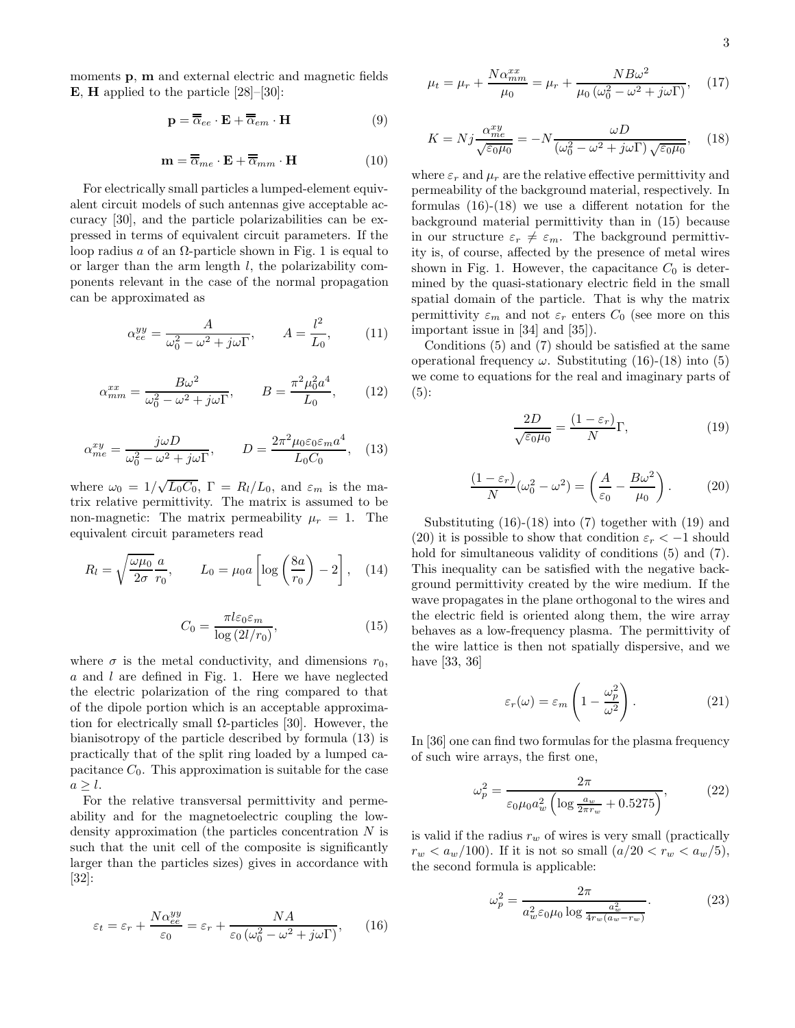moments p, m and external electric and magnetic fields **E**, **H** applied to the particle  $[28]$ – $[30]$ :

$$
\mathbf{p} = \overline{\overline{\alpha}}_{ee} \cdot \mathbf{E} + \overline{\overline{\alpha}}_{em} \cdot \mathbf{H}
$$
 (9)

$$
\mathbf{m} = \overline{\overline{\alpha}}_{me} \cdot \mathbf{E} + \overline{\overline{\alpha}}_{mm} \cdot \mathbf{H}
$$
 (10)

For electrically small particles a lumped-element equivalent circuit models of such antennas give acceptable accuracy [30], and the particle polarizabilities can be expressed in terms of equivalent circuit parameters. If the loop radius a of an  $\Omega$ -particle shown in Fig. 1 is equal to or larger than the arm length l, the polarizability components relevant in the case of the normal propagation can be approximated as

$$
\alpha_{ee}^{yy} = \frac{A}{\omega_0^2 - \omega^2 + j\omega\Gamma}, \qquad A = \frac{l^2}{L_0}, \qquad (11)
$$

$$
\alpha_{mm}^{xx} = \frac{B\omega^2}{\omega_0^2 - \omega^2 + j\omega\Gamma}, \qquad B = \frac{\pi^2 \mu_0^2 a^4}{L_0}, \qquad (12)
$$

$$
\alpha_{me}^{xy} = \frac{j\omega D}{\omega_0^2 - \omega^2 + j\omega \Gamma}, \qquad D = \frac{2\pi^2 \mu_0 \varepsilon_0 \varepsilon_m a^4}{L_0 C_0}, \quad (13)
$$

where  $\omega_0 = 1/\sqrt{L_0 C_0}$ ,  $\Gamma = R_l/L_0$ , and  $\varepsilon_m$  is the matrix relative permittivity. The matrix is assumed to be non-magnetic: The matrix permeability  $\mu_r = 1$ . The equivalent circuit parameters read

$$
R_l = \sqrt{\frac{\omega \mu_0}{2\sigma}} \frac{a}{r_0}, \qquad L_0 = \mu_0 a \left[ \log \left( \frac{8a}{r_0} \right) - 2 \right], \quad (14)
$$

$$
C_0 = \frac{\pi l \varepsilon_0 \varepsilon_m}{\log \left(2l/r_0\right)},\tag{15}
$$

where  $\sigma$  is the metal conductivity, and dimensions  $r_0$ ,  $a$  and  $l$  are defined in Fig. 1. Here we have neglected the electric polarization of the ring compared to that of the dipole portion which is an acceptable approximation for electrically small  $\Omega$ -particles [30]. However, the bianisotropy of the particle described by formula (13) is practically that of the split ring loaded by a lumped capacitance  $C_0$ . This approximation is suitable for the case  $a \geq l$ .

For the relative transversal permittivity and permeability and for the magnetoelectric coupling the lowdensity approximation (the particles concentration N is such that the unit cell of the composite is significantly larger than the particles sizes) gives in accordance with [32]:

$$
\varepsilon_t = \varepsilon_r + \frac{N\alpha_{ee}^{yy}}{\varepsilon_0} = \varepsilon_r + \frac{NA}{\varepsilon_0 \left(\omega_0^2 - \omega^2 + j\omega\right)},\qquad(16)
$$

$$
\mu_t = \mu_r + \frac{N\alpha_{mm}^{xx}}{\mu_0} = \mu_r + \frac{NB\omega^2}{\mu_0\left(\omega_0^2 - \omega^2 + j\omega\Gamma\right)},\tag{17}
$$

$$
K = Nj \frac{\alpha_{me}^{xy}}{\sqrt{\varepsilon_0 \mu_0}} = -N \frac{\omega D}{(\omega_0^2 - \omega^2 + j\omega \Gamma) \sqrt{\varepsilon_0 \mu_0}},\quad(18)
$$

where  $\varepsilon_r$  and  $\mu_r$  are the relative effective permittivity and permeability of the background material, respectively. In formulas (16)-(18) we use a different notation for the background material permittivity than in (15) because in our structure  $\varepsilon_r \neq \varepsilon_m$ . The background permittivity is, of course, affected by the presence of metal wires shown in Fig. 1. However, the capacitance  $C_0$  is determined by the quasi-stationary electric field in the small spatial domain of the particle. That is why the matrix permittivity  $\varepsilon_m$  and not  $\varepsilon_r$  enters  $C_0$  (see more on this important issue in [34] and [35]).

Conditions (5) and (7) should be satisfied at the same operational frequency  $\omega$ . Substituting (16)-(18) into (5) we come to equations for the real and imaginary parts of  $(5):$ 

$$
\frac{2D}{\sqrt{\varepsilon_0 \mu_0}} = \frac{(1 - \varepsilon_r)}{N} \Gamma,\tag{19}
$$

$$
\frac{(1 - \varepsilon_r)}{N} (\omega_0^2 - \omega^2) = \left(\frac{A}{\varepsilon_0} - \frac{B\omega^2}{\mu_0}\right). \tag{20}
$$

Substituting (16)-(18) into (7) together with (19) and (20) it is possible to show that condition  $\varepsilon_r < -1$  should hold for simultaneous validity of conditions  $(5)$  and  $(7)$ . This inequality can be satisfied with the negative background permittivity created by the wire medium. If the wave propagates in the plane orthogonal to the wires and the electric field is oriented along them, the wire array behaves as a low-frequency plasma. The permittivity of the wire lattice is then not spatially dispersive, and we have [33, 36]

$$
\varepsilon_r(\omega) = \varepsilon_m \left( 1 - \frac{\omega_p^2}{\omega^2} \right). \tag{21}
$$

In [36] one can find two formulas for the plasma frequency of such wire arrays, the first one,

$$
\omega_p^2 = \frac{2\pi}{\varepsilon_0 \mu_0 a_w^2 \left(\log \frac{a_w}{2\pi r_w} + 0.5275\right)},\tag{22}
$$

is valid if the radius  $r_w$  of wires is very small (practically  $r_w < a_w/100$ . If it is not so small  $(a/20 < r_w < a_w/5)$ , the second formula is applicable:

$$
\omega_p^2 = \frac{2\pi}{a_w^2 \varepsilon_0 \mu_0 \log \frac{a_w^2}{4r_w (a_w - r_w)}}.
$$
 (23)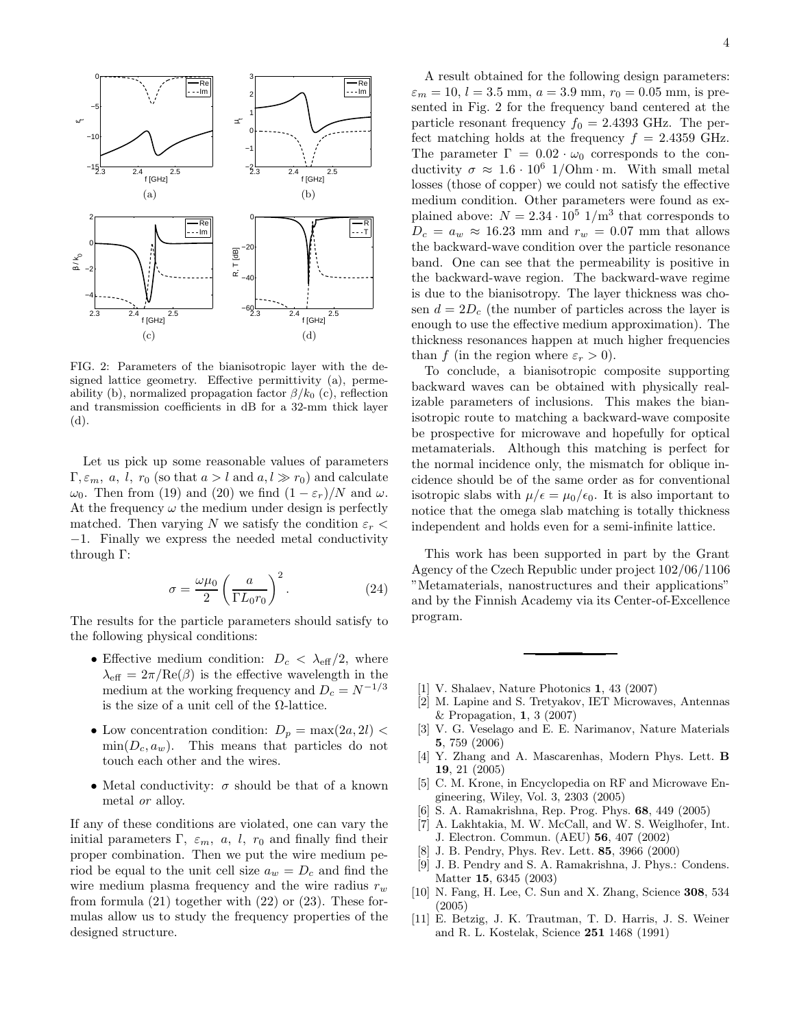

FIG. 2: Parameters of the bianisotropic layer with the designed lattice geometry. Effective permittivity (a), permeability (b), normalized propagation factor  $\beta/k_0$  (c), reflection and transmission coefficients in dB for a 32-mm thick layer (d).

Let us pick up some reasonable values of parameters  $\Gamma, \varepsilon_m, a, l, r_0$  (so that  $a > l$  and  $a, l \gg r_0$ ) and calculate  $ω_0$ . Then from (19) and (20) we find  $(1 − ε<sub>r</sub>)/N$  and  $ω$ . At the frequency  $\omega$  the medium under design is perfectly matched. Then varying N we satisfy the condition  $\varepsilon_r$ −1. Finally we express the needed metal conductivity through Γ:

$$
\sigma = \frac{\omega \mu_0}{2} \left( \frac{a}{\Gamma L_0 r_0} \right)^2.
$$
 (24)

The results for the particle parameters should satisfy to the following physical conditions:

- Effective medium condition:  $D_c < \lambda_{\text{eff}}/2$ , where  $\lambda_{\text{eff}} = 2\pi/\text{Re}(\beta)$  is the effective wavelength in the medium at the working frequency and  $D_c = N^{-1/3}$ is the size of a unit cell of the Ω-lattice.
- Low concentration condition:  $D_p = \max(2a, 2l)$  $\min(D_c, a_w)$ . This means that particles do not touch each other and the wires.
- Metal conductivity:  $\sigma$  should be that of a known metal or alloy.

If any of these conditions are violated, one can vary the initial parameters Γ,  $\varepsilon_m$ , a, l,  $r_0$  and finally find their proper combination. Then we put the wire medium period be equal to the unit cell size  $a_w = D_c$  and find the wire medium plasma frequency and the wire radius  $r_w$ from formula  $(21)$  together with  $(22)$  or  $(23)$ . These formulas allow us to study the frequency properties of the designed structure.

A result obtained for the following design parameters:  $\varepsilon_m = 10, l = 3.5$  mm,  $a = 3.9$  mm,  $r_0 = 0.05$  mm, is presented in Fig. 2 for the frequency band centered at the particle resonant frequency  $f_0 = 2.4393$  GHz. The perfect matching holds at the frequency  $f = 2.4359$  GHz. The parameter  $\Gamma = 0.02 \cdot \omega_0$  corresponds to the conductivity  $\sigma \approx 1.6 \cdot 10^6$  1/Ohm · m. With small metal losses (those of copper) we could not satisfy the effective medium condition. Other parameters were found as explained above:  $N = 2.34 \cdot 10^5$   $1/m^3$  that corresponds to  $D_c = a_w \approx 16.23$  mm and  $r_w = 0.07$  mm that allows the backward-wave condition over the particle resonance band. One can see that the permeability is positive in the backward-wave region. The backward-wave regime is due to the bianisotropy. The layer thickness was chosen  $d = 2D_c$  (the number of particles across the layer is enough to use the effective medium approximation). The thickness resonances happen at much higher frequencies than f (in the region where  $\varepsilon_r > 0$ ).

To conclude, a bianisotropic composite supporting backward waves can be obtained with physically realizable parameters of inclusions. This makes the bianisotropic route to matching a backward-wave composite be prospective for microwave and hopefully for optical metamaterials. Although this matching is perfect for the normal incidence only, the mismatch for oblique incidence should be of the same order as for conventional isotropic slabs with  $\mu/\epsilon = \mu_0/\epsilon_0$ . It is also important to notice that the omega slab matching is totally thickness independent and holds even for a semi-infinite lattice.

This work has been supported in part by the Grant Agency of the Czech Republic under project 102/06/1106 "Metamaterials, nanostructures and their applications" and by the Finnish Academy via its Center-of-Excellence program.

- [1] V. Shalaev, Nature Photonics 1, 43 (2007)
- [2] M. Lapine and S. Tretyakov, IET Microwaves, Antennas & Propagation, 1, 3 (2007)
- [3] V. G. Veselago and E. E. Narimanov, Nature Materials 5, 759 (2006)
- [4] Y. Zhang and A. Mascarenhas, Modern Phys. Lett. B 19, 21 (2005)
- [5] C. M. Krone, in Encyclopedia on RF and Microwave Engineering, Wiley, Vol. 3, 2303 (2005)
- [6] S. A. Ramakrishna, Rep. Prog. Phys. 68, 449 (2005)
- [7] A. Lakhtakia, M. W. McCall, and W. S. Weiglhofer, Int. J. Electron. Commun. (AEU) 56, 407 (2002)
- [8] J. B. Pendry, Phys. Rev. Lett. 85, 3966 (2000)
- [9] J. B. Pendry and S. A. Ramakrishna, J. Phys.: Condens. Matter 15, 6345 (2003)
- [10] N. Fang, H. Lee, C. Sun and X. Zhang, Science 308, 534 (2005)
- [11] E. Betzig, J. K. Trautman, T. D. Harris, J. S. Weiner and R. L. Kostelak, Science 251 1468 (1991)